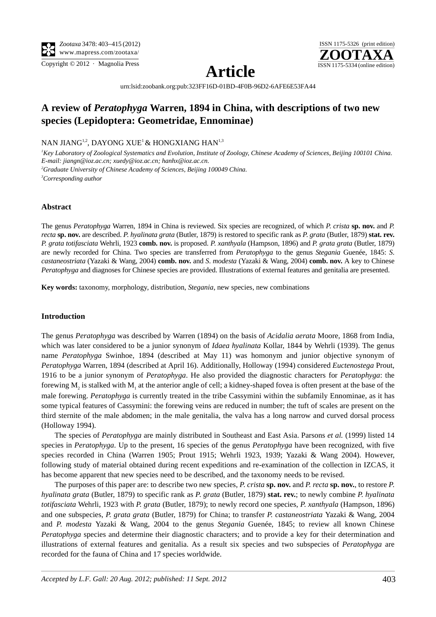



**Article**

[urn:lsid:zoobank.org:pub:323FF16D-01BD-4F0B-96D2-6AFE6E53FA44](http://zoobank.org/urn:lsid:zoobank.org:pub:323FF16D-01BD-4F0B-96D2-6AFE6E53FA44)

## **A review of** *Peratophyga* **Warren, 1894 in China, with descriptions of two new species (Lepidoptera: Geometridae, Ennominae)**

NAN JIANG<sup>1,2</sup>, DAYONG XUE<sup>1</sup> & HONGXIANG HAN<sup>1,3</sup>

<sup>1</sup> Key Laboratory of Zoological Systematics and Evolution, Institute of Zoology, Chinese Academy of Sciences, Beijing 100101 China. *E-mail: jiangn@ioz.ac.cn; xuedy@ioz.ac.cn; hanhx@ioz.ac.cn.*

*2 Graduate University of Chinese Academy of Sciences, Beijing 100049 China. 3 Corresponding author*

## **Abstract**

The genus *Peratophyga* Warren, 1894 in China is reviewed. Six species are recognized, of which *P*. *crista* **sp. nov.** and *P. recta* **sp. nov.** are described. *P*. *hyalinata grata* (Butler, 1879) is restored to specific rank as *P*. *grata* (Butler, 1879) **stat. rev.** *P. grata totifasciata* Wehrli, 1923 **comb. nov.** is proposed. *P*. *xanthyala* (Hampson, 1896) and *P. grata grata* (Butler, 1879) are newly recorded for China. Two species are transferred from *Peratophyga* to the genus *Stegania* Guenée, 1845: *S*. *castaneostriata* (Yazaki & Wang, 2004) **comb. nov.** and *S*. *modesta* (Yazaki & Wang, 2004) **comb. nov.** A key to Chinese *Peratophyga* and diagnoses for Chinese species are provided. Illustrations of external features and genitalia are presented.

**Key words:** taxonomy, morphology, distribution, *Stegania*, new species, new combinations

## **Introduction**

The genus *Peratophyga* was described by Warren (1894) on the basis of *Acidalia aerata* Moore, 1868 from India, which was later considered to be a junior synonym of *Idaea hyalinata* Kollar, 1844 by Wehrli (1939). The genus name *Peratophyga* Swinhoe, 1894 (described at May 11) was homonym and junior objective synonym of *Peratophyga* Warren, 1894 (described at April 16). Additionally, Holloway (1994) considered *Euctenostega* Prout, 1916 to be a junior synonym of *Peratophyga*. He also provided the diagnostic characters for *Peratophyga*: the forewing  $M_2$  is stalked with  $M_1$  at the anterior angle of cell; a kidney-shaped fovea is often present at the base of the male forewing. *Peratophyga* is currently treated in the tribe Cassymini within the subfamily Ennominae, as it has some typical features of Cassymini: the forewing veins are reduced in number; the tuft of scales are present on the third sternite of the male abdomen; in the male genitalia, the valva has a long narrow and curved dorsal process (Holloway 1994).

The species of *Peratophyga* are mainly distributed in Southeast and East Asia. Parsons *et al.* (1999) listed 14 species in *Peratophyga*. Up to the present, 16 species of the genus *Peratophyga* have been recognized, with five species recorded in China (Warren 1905; Prout 1915; Wehrli 1923, 1939; Yazaki & Wang 2004). However, following study of material obtained during recent expeditions and re-examination of the collection in IZCAS, it has become apparent that new species need to be described, and the taxonomy needs to be revised.

The purposes of this paper are: to describe two new species, *P*. *crista* **sp. nov.** and *P. recta* **sp. nov.**, to restore *P*. *hyalinata grata* (Butler, 1879) to specific rank as *P*. *grata* (Butler, 1879) **stat. rev.**; to newly combine *P. hyalinata totifasciata* Wehrli, 1923 with *P. grata* (Butler, 1879); to newly record one species, *P*. *xanthyala* (Hampson, 1896) and one subspecies, *P. grata grata* (Butler, 1879) for China; to transfer *P. castaneostriata* Yazaki & Wang, 2004 and *P*. *modesta* Yazaki & Wang, 2004 to the genus *Stegania* Guenée, 1845; to review all known Chinese *Peratophyga* species and determine their diagnostic characters; and to provide a key for their determination and illustrations of external features and genitalia. As a result six species and two subspecies of *Peratophyga* are recorded for the fauna of China and 17 species worldwide.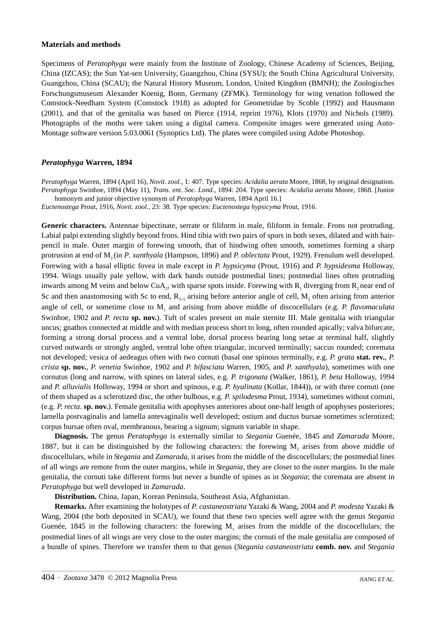#### **Materials and methods**

Specimens of *Peratophyga* were mainly from the Institute of Zoology, Chinese Academy of Sciences, Beijing, China (IZCAS); the Sun Yat-sen University, Guangzhou, China (SYSU); the South China Agricultural University, Guangzhou, China (SCAU); the Natural History Museum, London, United Kingdom (BMNH); the Zoologisches Forschungsmuseum Alexander Koenig, Bonn, Germany (ZFMK). Terminology for wing venation followed the Comstock-Needham System (Comstock 1918) as adopted for Geometridae by Scoble (1992) and Hausmann (2001), and that of the genitalia was based on Pierce (1914, reprint 1976), Klots (1970) and Nichols (1989). Photographs of the moths were taken using a digital camera. Composite images were generated using Auto-Montage software version 5.03.0061 (Synoptics Ltd). The plates were compiled using Adobe Photoshop.

## *Peratophyga* **Warren, 1894**

*Peratophyga* Warren, 1894 (April 16), *Novit. zool.*, 1: 407. Type species: *Acidalia aerata* Moore, 1868, by original designation. *Peratophyga* Swinhoe, 1894 (May 11), *Trans. ent. Soc. Lond.*, 1894: 204. Type species: *Acidalia aerata* Moore, 1868. [Junior homonym and junior objective synonym of *Peratophyga* Warren, 1894 April 16.]

*Euctenostega* Prout, 1916, *Novit. zool.*, 23: 38. Type species: *Euctenostega hypsicyma* Prout, 1916.

**Generic characters.** Antennae bipectinate, serrate or filiform in male, filiform in female. Frons not protruding. Labial palpi extending slightly beyond frons. Hind tibia with two pairs of spurs in both sexes, dilated and with hairpencil in male. Outer margin of forewing smooth, that of hindwing often smooth, sometimes forming a sharp protrusion at end of M3 (in *P. xanthyala* (Hampson, 1896) and *P. oblectata* Prout, 1929). Frenulum well developed. Forewing with a basal elliptic fovea in male except in *P. hypsicyma* (Prout, 1916) and *P. hypsidesma* Holloway, 1994. Wings usually pale yellow, with dark bands outside postmedial lines; postmedial lines often protruding inwards among M veins and below CuA<sub>2</sub>, with sparse spots inside. Forewing with  $R_1$  diverging from  $R_2$  near end of Sc and then anastomosing with Sc to end,  $R_{3-5}$  arising before anterior angle of cell,  $M_2$  often arising from anterior angle of cell, or sometime close to M<sub>1</sub> and arising from above middle of discocellulars (e.g. P. flavomaculata Swinhoe, 1902 and *P. recta* sp. nov.). Tuft of scales present on male sternite III. Male genitalia with triangular uncus; gnathos connected at middle and with median process short to long, often rounded apically; valva bifurcate, forming a strong dorsal process and a ventral lobe, dorsal process bearing long setae at terminal half, slightly curved outwards or strongly angled, ventral lobe often triangular, incurved terminally; saccus rounded; coremata not developed; vesica of aedeagus often with two cornuti (basal one spinous terminally, e.g. *P. grata* **stat. rev.**, *P. crista* **sp. nov.**, *P. venetia* Swinhoe, 1902 and *P. bifasciata* Warren, 1905, and *P. xanthyala*), sometimes with one cornutus (long and narrow, with spines on lateral sides, e.g. *P. trigonata* (Walker, 1861), *P. beta* Holloway, 1994 and *P. alluvialis* Holloway, 1994 or short and spinous, e.g. *P. hyalinata* (Kollar, 1844)), or with three cornuti (one of them shaped as a sclerotized disc, the other bulbous, e.g. *P. spilodesma* Prout, 1934), sometimes without cornuti, (e.g. *P. recta*. **sp. nov.**). Female genitalia with apophyses anteriores about one-half length of apophyses posteriores; lamella postvaginalis and lamella antevaginalis well developed; ostium and ductus bursae sometimes sclerotized; corpus bursae often oval, membranous, bearing a signum; signum variable in shape.

**Diagnosis.** The genus *Peratophyga* is externally similar to *Stegania* Guenée, 1845 and *Zamarada* Moore, 1887, but it can be distinguished by the following characters: the forewing M<sub>2</sub> arises from above middle of discocellulars, while in *Stegania* and *Zamarada*, it arises from the middle of the discocellulars; the postmedial lines of all wings are remote from the outer margins, while in *Stegania*, they are closer to the outer margins. In the male genitalia, the cornuti take different forms but never a bundle of spines as in *Stegania*; the coremata are absent in *Peratophyga* but well developed in *Zamarada*.

**Distribution.** China, Japan, Korean Peninsula, Southeast Asia, Afghanistan.

**Remarks.** After examining the holotypes of *P. castaneostriata* Yazaki & Wang, 2004 and *P*. *modesta* Yazaki & Wang, 2004 (the both deposited in SCAU), we found that these two species well agree with the genus *Stegania* Guenée, 1845 in the following characters: the forewing  $M<sub>1</sub>$  arises from the middle of the discocellulars; the postmedial lines of all wings are very close to the outer margins; the cornuti of the male genitalia are composed of a bundle of spines. Therefore we transfer them to that genus (*Stegania castaneostriata* **comb. nov.** and *Stegania*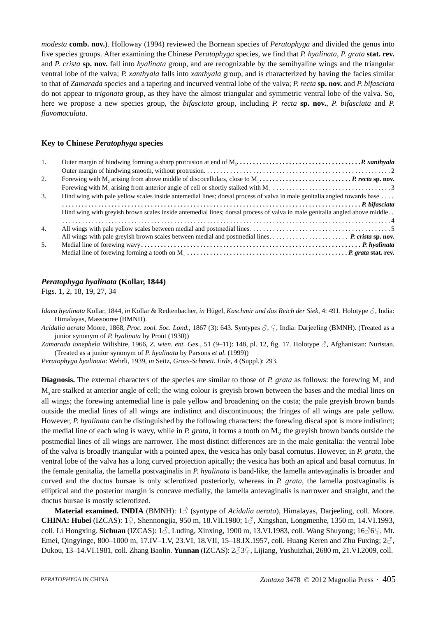*modesta* **comb. nov.**). Holloway (1994) reviewed the Bornean species of *Peratophyga* and divided the genus into five species groups. After examining the Chinese *Peratophyga* species, we find that *P. hyalinata*, *P. grata* **stat. rev.** and *P. crista* **sp. nov.** fall into *hyalinata* group, and are recognizable by the semihyaline wings and the triangular ventral lobe of the valva; *P. xanthyala* falls into *xanthyala* group, and is characterized by having the facies similar to that of *Zamarada* species and a tapering and incurved ventral lobe of the valva; *P. recta* **sp. nov.** and *P. bifasciata* do not appear to *trigonata* group, as they have the almost triangular and symmetric ventral lobe of the valva. So, here we propose a new species group, the *bifasciata* group, including *P. recta* **sp. nov.**, *P. bifasciata* and *P. flavomaculata*.

## **Key to Chinese** *Peratophyga* **species**

| 1.               | Outer margin of hindwing forming a sharp protrusion at end of $M_1, \ldots, \ldots, \ldots, \ldots, \ldots, \ldots, \ldots, P$ . xanthyala |
|------------------|--------------------------------------------------------------------------------------------------------------------------------------------|
|                  |                                                                                                                                            |
| 2.               |                                                                                                                                            |
|                  |                                                                                                                                            |
| 3.               | Hind wing with pale yellow scales inside antemedial lines; dorsal process of valva in male genitalia angled towards base                   |
|                  |                                                                                                                                            |
|                  | Hind wing with greyish brown scales inside antemedial lines; dorsal process of valva in male genitalia angled above middle                 |
|                  |                                                                                                                                            |
| $\overline{4}$ . |                                                                                                                                            |
|                  |                                                                                                                                            |
| .5.              |                                                                                                                                            |
|                  |                                                                                                                                            |

## *Peratophyga hyalinata* **(Kollar, 1844)**

Figs. 1, 2, 18, 19, 27, 34

*Idaea hyalinata* Kollar, 1844, *in* Kollar & Redtenbacher, *in* Hügel, *Kaschmir und das Reich der Siek*, 4: 491. Holotype ♂, India: Himalayas, Massooree (BMNH).

*Acidalia aerata* Moore, 1868, *Proc. zool. Soc. Lond.*, 1867 (3): 643. Syntypes ♂, ♀, India: Darjeeling (BMNH). (Treated as a junior synonym of *P. hyalinata* by Prout (1930))

*Zamarada ionephela* Wiltshire, 1966, *Z. wien. ent. Ges.*, 51 (9–11): 148, pl. 12, fig. 17. Holotype ♂, Afghanistan: Nuristan. (Treated as a junior synonym of *P. hyalinata* by Parsons *et al.* (1999))

*Peratophyga hyalinata*: Wehrli, 1939, *in* Seitz, *Gross-Schmett. Erde*, 4 (Suppl.): 293.

**Diagnosis.** The external characters of the species are similar to those of *P. grata* as follows: the forewing  $M_1$  and M2 are stalked at anterior angle of cell; the wing colour is greyish brown between the bases and the medial lines on all wings; the forewing antemedial line is pale yellow and broadening on the costa; the pale greyish brown bands outside the medial lines of all wings are indistinct and discontinuous; the fringes of all wings are pale yellow. However, *P. hyalinata* can be distinguished by the following characters: the forewing discal spot is more indistinct; the medial line of each wing is wavy, while in *P. grata*, it forms a tooth on M<sub>3</sub>; the greyish brown bands outside the postmedial lines of all wings are narrower. The most distinct differences are in the male genitalia: the ventral lobe of the valva is broadly triangular with a pointed apex, the vesica has only basal cornutus. However, in *P. grata*, the ventral lobe of the valva has a long curved projection apically; the vesica has both an apical and basal cornutus. In the female genitalia, the lamella postvaginalis in *P. hyalinata* is band-like, the lamella antevaginalis is broader and curved and the ductus bursae is only sclerotized posteriorly, whereas in *P. grata*, the lamella postvaginalis is elliptical and the posterior margin is concave medially, the lamella antevaginalis is narrower and straight, and the ductus bursae is mostly sclerotized.

**Material examined. INDIA** (BMNH): <sup>1</sup>♂ (syntype of *Acidalia aerata*), Himalayas, Darjeeling, coll. Moore. **CHINA: Hubei** (IZCAS): 1♀, Shennongjia, 950 m, 18.VII.1980; 1♂, Xingshan, Longmenhe, 1350 m, 14.VI.1993, coll. Li Hongxing. **Sichuan** (IZCAS): 1♂, Luding, Xinxing, 1900 m, 13.VI.1983, coll. Wang Shuyong; 16♂6♀, Mt. Emei, Qingyinge, 800–1000 m, 17.IV–1.V, 23.VI, 18.VII, 15–18.IX.1957, coll. Huang Keren and Zhu Fuxing;  $2\sigma$ , Dukou, 13–14.VI.1981, coll. Zhang Baolin. **Yunnan** (IZCAS): 2♂3♀, Lijiang, Yushuizhai, 2680 m, 21.VI.2009, coll.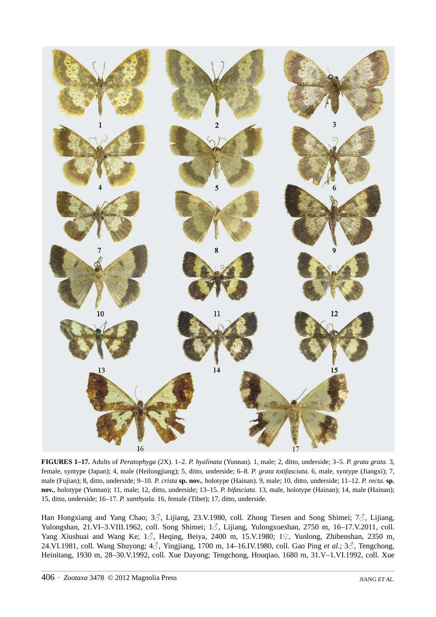

**FIGURES 1–17.** Adults of *Peratophyga* (2X). 1–2. *P. hyalinata* (Yunnan). 1, male; 2, ditto, underside; 3–5. *P. grata grata*. 3, female, syntype (Japan); 4, male (Heilongjiang); 5, ditto, underside; 6–8. *P. grata totifasciata*. 6, male, syntype (Jiangxi); 7, male (Fujian); 8, ditto, underside; 9–10. *P. crista* **sp. nov.**, holotype (Hainan). 9, male; 10, ditto, underside; 11–12. *P. recta*. **sp. nov.**, holotype (Yunnan); 11, male; 12, ditto, underside; 13–15. *P. bifasciata*. 13, male, holotype (Hainan); 14, male (Hainan); 15, ditto, underside; 16–17. *P. xanthyala*. 16, female (Tibet); 17, ditto, underside.

Han Hongxiang and Yang Chao;  $3\hat{\diamond}$ , Lijiang, 23.V.1980, coll. Zhong Tiesen and Song Shimei;  $7\hat{\diamond}$ , Lijiang, Yulongshan, 21.VI–3.VIII.1962, coll. Song Shimei; 1♂, Lijiang, Yulongxueshan, 2750 m, 16–17.V.2011, coll. Yang Xiushuai and Wang Ke; 1♂, Heqing, Beiya, 2400 m, 15.V.1980; 1♀, Yunlong, Zhibenshan, 2350 m, 24.VI.1981, coll. Wang Shuyong; 4♂, Yingjiang, 1700 m, 14–16.IV.1980, coll. Gao Ping *et al.*; 3♂, Tengchong, Heinitang, 1930 m, 28–30.V.1992, coll. Xue Dayong; Tengchong, Houqiao, 1680 m, 31.V–1.VI.1992, coll. Xue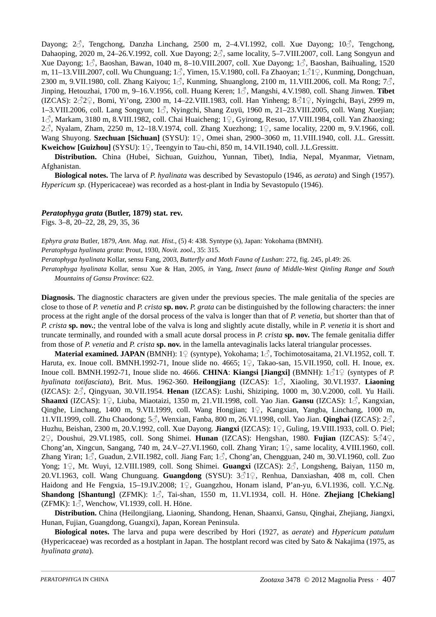Dayong; 2♂, Tengchong, Danzha Linchang, 2500 m, 2-4.VI.1992, coll. Xue Dayong; 10♂, Tengchong, Dahaoping, 2020 m, 24–26.V.1992, coll. Xue Dayong;  $2\hat{\sigma}$ , same locality, 5–7.VIII.2007, coll. Lang Songyun and Xue Dayong;  $1\hat{\wedge}$ , Baoshan, Bawan, 1040 m, 8–10.VIII.2007, coll. Xue Dayong;  $1\hat{\wedge}$ , Baoshan, Baihualing, 1520 m, 11–13.VIII.2007, coll. Wu Chunguang; 1♂, Yimen, 15.V.1980, coll. Fa Zhaoyan; 1♂1♀, Kunming, Dongchuan, 2300 m, 9.VII.1980, coll. Zhang Kaiyou;  $1\textdegree$ , Kunming, Shuanglong, 2100 m, 11.VIII.2006, coll. Ma Rong;  $7\textdegree$ , Jinping, Hetouzhai, 1700 m, 9–16.V.1956, coll. Huang Keren; 1♂, Mangshi, 4.V.1980, coll. Shang Jinwen. **Tibet**  (IZCAS):  $2\sqrt[3]{2}$ , Bomi, Yi'ong, 2300 m, 14–22.VIII.1983, coll. Han Yinheng;  $8\sqrt[3]{1}$ , Nyingchi, Bayi, 2999 m, 1–3.VIII.2006, coll. Lang Songyun;  $1\beta$ , Nyingchi, Shang Zuyü, 1960 m, 21–23.VIII.2005, coll. Wang Xuejian; <sup>1</sup>♂, Markam, 3180 m, 8.VIII.1982, coll. Chai Huaicheng; 1♀, Gyirong, Resuo, 17.VIII.1984, coll. Yan Zhaoxing; <sup>2</sup>♂, Nyalam, Zham, 2250 m, 12–18.V.1974, coll. Zhang Xuezhong; 1♀, same locality, 2200 m, 9.V.1966, coll. Wang Shuyong. **Szechuan [Sichuan]** (SYSU): 1♀, Omei shan, 2900–3060 m, 11.VIII.1940, coll. J.L. Gressitt. **Kweichow [Guizhou]** (SYSU): 1♀, Teengyin to Tau-chi, 850 m, 14.VII.1940, coll. J.L.Gressitt.

**Distribution.** China (Hubei, Sichuan, Guizhou, Yunnan, Tibet), India, Nepal, Myanmar, Vietnam, Afghanistan.

**Biological notes.** The larva of *P. hyalinata* was described by Sevastopulo (1946, as *aerata*) and Singh (1957). *Hypericum sp.* (Hypericaceae) was recorded as a host-plant in India by Sevastopulo (1946).

#### *Peratophyga grata* **(Butler, 1879) stat. rev.**

Figs. 3–8, 20–22, 28, 29, 35, 36

*Ephyra grata* Butler, 1879, *Ann. Mag. nat. Hist.*, (5) 4: 438. Syntype (s), Japan: Yokohama (BMNH). *Peratophyga hyalinata grata*: Prout, 1930, *Novit. zool.*, 35: 315.

*Peratophyga hyalinata* Kollar, sensu Fang, 2003, *Butterfly and Moth Fauna of Lushan*: 272, fig. 245, pl.49: 26.

*Peratophyga hyalinata* Kollar, sensu Xue & Han, 2005, *in* Yang, *Insect fauna of Middle-West Qinling Range and South Mountains of Gansu Province*: 622.

**Diagnosis.** The diagnostic characters are given under the previous species. The male genitalia of the species are close to those of *P. venetia* and *P. crista* **sp. nov.** *P. grata* can be distinguished by the following characters: the inner process at the right angle of the dorsal process of the valva is longer than that of *P. venetia*, but shorter than that of *P. crista* **sp. nov.**; the ventral lobe of the valva is long and slightly acute distally, while in *P. venetia* it is short and truncate terminally, and rounded with a small acute dorsal process in *P. crista* **sp. nov.** The female genitalia differ from those of *P. venetia* and *P. crista* **sp. nov.** in the lamella antevaginalis lacks lateral triangular processes.

**Material examined. JAPAN** (BMNH): 1♀ (syntype), Yokohama; 1♂, Tochimotosaitama, 21.VI.1952, coll. T. Haruta, ex. Inoue coll. BMNH.1992-71, Inoue slide no. 4665; 1 $\mathcal{Q}$ , Takao-san, 15.VII.1950, coll. H. Inoue, ex. Inoue coll. BMNH.1992-71, Inoue slide no. 4666. **CHINA**: **Kiangsi [Jiangxi]** (BMNH): 1♂1♀ (syntypes of *P. hyalinata totifasciata*), Brit. Mus. 1962-360. **Heilongjiang** (IZCAS): 1♂, Xiaoling, 30.VI.1937. **Liaoning** (IZCAS): 2♂, Qingyuan, 30.VII.1954. **Henan** (IZCAS): Lushi, Shiziping, 1000 m, 30.V.2000, coll. Yu Haili. **Shaanxi** (IZCAS): 1♀, Liuba, Miaotaizi, 1350 m, 21.VII.1998, coll. Yao Jian. **Gansu** (IZCAS): 1♂, Kangxian, Qinghe, Linchang, 1400 m, 9.VII.1999, coll. Wang Hongjian; 1♀, Kangxian, Yangba, Linchang, 1000 m, 11.VII.1999, coll. Zhu Chaodong; 5♂, Wenxian, Fanba, 800 m, 26.VI.1998, coll. Yao Jian. **Qinghai** (IZCAS): 2♂, Huzhu, Beishan, 2300 m, 20.V.1992, coll. Xue Dayong. **Jiangxi** (IZCAS): 1♀, Guling, 19.VIII.1933, coll. O. Piel; <sup>2</sup>♀, Doushui, 29.VI.1985, coll. Song Shimei. **Hunan** (IZCAS): Hengshan, 1980. **Fujian** (IZCAS): 5♂4♀, Chong'an, Xingcun, Sangang, 740 m, 24.V–27.VI.1960, coll. Zhang Yiran;  $1\degree$ , same locality, 4.VIII.1960, coll. Zhang Yiran;  $1\hat{\zeta}$ , Guadun, 2.VII.1982, coll. Jiang Fan;  $1\hat{\zeta}$ , Chong'an, Chengguan, 240 m, 30.VI.1960, coll. Zuo Yong; 1♀, Mt. Wuyi, 12.VIII.1989, coll. Song Shimei. **Guangxi** (IZCAS): 2♂, Longsheng, Baiyan, 1150 m, 20.VI.1963, coll. Wang Chunguang. **Guangdong** (SYSU): 3♂1♀, Renhua, Danxiashan, 408 m, coll. Chen Haidong and He Fengxia, 15–19.IV.2008; 1♀, Guangzhou, Honam island, P'an-yu, 6.VI.1936, coll. Y.C.Ng. **Shandong [Shantung]** (ZFMK): 1♂, Tai-shan, 1550 m, 11.VI.1934, coll. H. Höne. **Zhejiang [Chekiang]** (ZFMK):  $1\delta$ , Wenchow, VI.1939, coll. H. Höne.

**Distribution.** China (Heilongjiang, Liaoning, Shandong, Henan, Shaanxi, Gansu, Qinghai, Zhejiang, Jiangxi, Hunan, Fujian, Guangdong, Guangxi), Japan, Korean Peninsula.

**Biological notes.** The larva and pupa were described by Hori (1927, as *aerate*) and *Hypericum patulum*  (Hypericaceae) was recorded as a hostplant in Japan. The hostplant record was cited by Sato & Nakajima (1975, as *hyalinata grata*).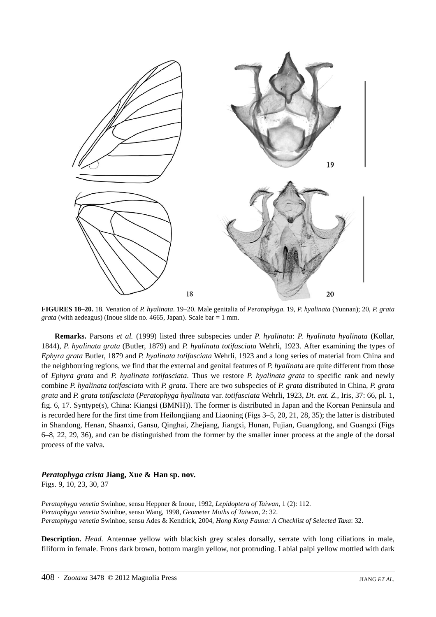

**FIGURES 18–20.** 18. Venation of *P. hyalinata*. 19–20. Male genitalia of *Peratophyga*. 19, *P. hyalinata* (Yunnan); 20, *P. grata grata* (with aedeagus) (Inoue slide no. 4665, Japan). Scale bar  $= 1$  mm.

**Remarks.** Parsons *et al.* (1999) listed three subspecies under *P. hyalinata*: *P. hyalinata hyalinata* (Kollar, 1844), *P. hyalinata grata* (Butler, 1879) and *P. hyalinata totifasciata* Wehrli, 1923. After examining the types of *Ephyra grata* Butler, 1879 and *P. hyalinata totifasciata* Wehrli, 1923 and a long series of material from China and the neighbouring regions, we find that the external and genital features of *P. hyalinata* are quite different from those of *Ephyra grata* and *P. hyalinata totifasciata*. Thus we restore *P. hyalinata grata* to specific rank and newly combine *P. hyalinata totifasciata* with *P. grata*. There are two subspecies of *P. grata* distributed in China, *P. grata grata* and *P. grata totifasciata* (*Peratophyga hyalinata* var. *totifasciata* Wehrli, 1923, *Dt. ent. Z.*, Iris, 37: 66, pl. 1, fig. 6, 17. Syntype(s), China: Kiangsi (BMNH)). The former is distributed in Japan and the Korean Peninsula and is recorded here for the first time from Heilongjiang and Liaoning (Figs 3–5, 20, 21, 28, 35); the latter is distributed in Shandong, Henan, Shaanxi, Gansu, Qinghai, Zhejiang, Jiangxi, Hunan, Fujian, Guangdong, and Guangxi (Figs 6–8, 22, 29, 36), and can be distinguished from the former by the smaller inner process at the angle of the dorsal process of the valva.

#### *Peratophyga crista* **Jiang, Xue & Han sp. nov.**

Figs. 9, 10, 23, 30, 37

*Peratophyga venetia* Swinhoe, sensu Heppner & Inoue, 1992, *Lepidoptera of Taiwan*, 1 (2): 112. *Peratophyga venetia* Swinhoe, sensu Wang, 1998, *Geometer Moths of Taiwan*, 2: 32. *Peratophyga venetia* Swinhoe, sensu Ades & Kendrick, 2004, *Hong Kong Fauna: A Checklist of Selected Taxa*: 32.

**Description.** *Head.* Antennae yellow with blackish grey scales dorsally, serrate with long ciliations in male, filiform in female. Frons dark brown, bottom margin yellow, not protruding. Labial palpi yellow mottled with dark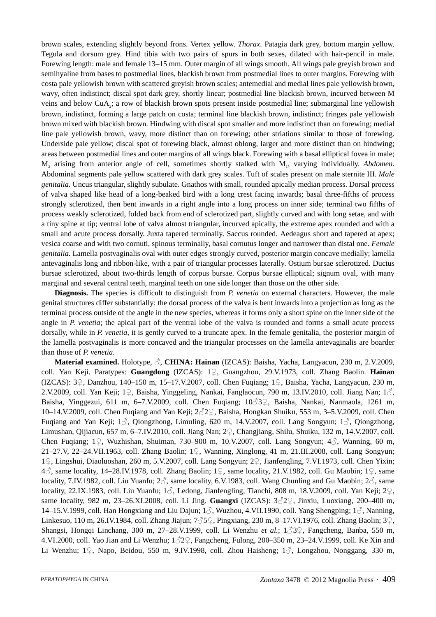brown scales, extending slightly beyond frons. Vertex yellow. *Thorax.* Patagia dark grey, bottom margin yellow. Tegula and dorsum grey. Hind tibia with two pairs of spurs in both sexes, dilated with hair-pencil in male. Forewing length: male and female 13–15 mm. Outer margin of all wings smooth. All wings pale greyish brown and semihyaline from bases to postmedial lines, blackish brown from postmedial lines to outer margins. Forewing with costa pale yellowish brown with scattered greyish brown scales; antemedial and medial lines pale yellowish brown, wavy, often indistinct; discal spot dark grey, shortly linear; postmedial line blackish brown, incurved between M veins and below CuA<sub>2</sub>; a row of blackish brown spots present inside postmedial line; submarginal line yellowish brown, indistinct, forming a large patch on costa; terminal line blackish brown, indistinct; fringes pale yellowish brown mixed with blackish brown. Hindwing with discal spot smaller and more indistinct than on forewing; medial line pale yellowish brown, wavy, more distinct than on forewing; other striations similar to those of forewing. Underside pale yellow; discal spot of forewing black, almost oblong, larger and more distinct than on hindwing; areas between postmedial lines and outer margins of all wings black. Forewing with a basal elliptical fovea in male; M<sub>2</sub> arising from anterior angle of cell, sometimes shortly stalked with M<sub>1</sub>, varying individually. *Abdomen.* Abdominal segments pale yellow scattered with dark grey scales. Tuft of scales present on male sternite III. *Male genitalia.* Uncus triangular, slightly subulate. Gnathos with small, rounded apically median process. Dorsal process of valva shaped like head of a long-beaked bird with a long crest facing inwards; basal three-fifths of process strongly sclerotized, then bent inwards in a right angle into a long process on inner side; terminal two fifths of process weakly sclerotized, folded back from end of sclerotized part, slightly curved and with long setae, and with a tiny spine at tip; ventral lobe of valva almost triangular, incurved apically, the extreme apex rounded and with a small and acute process dorsally. Juxta tapered terminally. Saccus rounded. Aedeagus short and tapered at apex; vesica coarse and with two cornuti, spinous terminally, basal cornutus longer and narrower than distal one. *Female genitalia.* Lamella postvaginalis oval with outer edges strongly curved, posterior margin concave medially; lamella antevaginalis long and ribbon-like, with a pair of triangular processes laterally. Ostium bursae sclerotized. Ductus bursae sclerotized, about two-thirds length of corpus bursae. Corpus bursae elliptical; signum oval, with many marginal and several central teeth, marginal teeth on one side longer than those on the other side.

**Diagnosis.** The species is difficult to distinguish from *P. venetia* on external characters. However, the male genital structures differ substantially: the dorsal process of the valva is bent inwards into a projection as long as the terminal process outside of the angle in the new species, whereas it forms only a short spine on the inner side of the angle in *P. venetia*; the apical part of the ventral lobe of the valva is rounded and forms a small acute process dorsally, while in *P. venetia*, it is gently curved to a truncate apex. In the female genitalia, the posterior margin of the lamella postvaginalis is more concaved and the triangular processes on the lamella antevaginalis are boarder than those of *P. venetia*.

**Material examined.** Holotype, ♂, **CHINA: Hainan** (IZCAS): Baisha, Yacha, Langyacun, 230 m, 2.V.2009, coll. Yan Keji. Paratypes: **Guangdong** (IZCAS): 1♀, Guangzhou, 29.V.1973, coll. Zhang Baolin. **Hainan** (IZCAS): 3♀, Danzhou, 140–150 m, 15–17.V.2007, coll. Chen Fuqiang; 1♀, Baisha, Yacha, Langyacun, 230 m, 2.V.2009, coll. Yan Keji; 1♀, Baisha, Yinggeling, Nankai, Fanglaocun, 790 m, 13.IV.2010, coll. Jiang Nan; 1♂, Baisha, Yinggezui, 611 m, 6–7.V.2009, coll. Chen Fuqiang; 10♂3♀, Baisha, Nankai, Nanmaola, 1261 m, 10–14.V.2009, coll. Chen Fuqiang and Yan Keji; 2♂2♀, Baisha, Hongkan Shuiku, 553 m, 3–5.V.2009, coll. Chen Fuqiang and Yan Keji;  $1\beta$ , Qiongzhong, Limuling, 620 m, 14.V.2007, coll. Lang Songyun;  $1\beta$ , Qiongzhong, Limushan, Qijiacun, 657 m, 6–7.IV.2010, coll. Jiang Nan; 2♀, Changjiang, Shilu, Shuiku, 132 m, 14.V.2007, coll. Chen Fuqiang; 1♀, Wuzhishan, Shuiman, 730–900 m, 10.V.2007, coll. Lang Songyun; 4 
∴ Wanning, 60 m, 21–27.V, 22–24.VII.1963, coll. Zhang Baolin; 1♀, Wanning, Xinglong, 41 m, 21.III.2008, coll. Lang Songyun; <sup>1</sup>♀, Lingshui, Diaoluoshan, 260 m, 5.V.2007, coll. Lang Songyun; 2♀, Jianfengling, 7.VI.1973, coll. Chen Yixin; <sup>4</sup>♂, same locality, 14–28.IV.1978, coll. Zhang Baolin; 1♀, same locality, 21.V.1982, coll. Gu Maobin; 1♀, same locality, 7.IV.1982, coll. Liu Yuanfu;  $2\hat{\triangle}$ , same locality, 6.V.1983, coll. Wang Chunling and Gu Maobin;  $2\hat{\triangle}$ , same locality, 22.IX.1983, coll. Liu Yuanfu; 1♂, Ledong, Jianfengling, Tianchi, 808 m, 18.V.2009, coll. Yan Keji; 2♀, same locality, 982 m, 23–26.XI.2008, coll. Li Jing. **Guangxi** (IZCAS): 3♂2♀, Jinxiu, Luoxiang, 200–400 m, 14–15.V.1999, coll. Han Hongxiang and Liu Dajun; 1♂, Wuzhou, 4.VII.1990, coll. Yang Shengping; 1♂, Nanning, Linkesuo, 110 m, 26.IV.1984, coll. Zhang Jiajun; 7♂5♀, Pingxiang, 230 m, 8–17.VI.1976, coll. Zhang Baolin; 3♀, Shangsi, Hongqi Linchang, 300 m, 27–28.V.1999, coll. Li Wenzhu *et al.*; 1♂3♀, Fangcheng, Banba, 550 m, 4.VI.2000, coll. Yao Jian and Li Wenzhu;  $1\textdegree$  72 $\textdegree$ , Fangcheng, Fulong, 200–350 m, 23–24.V.1999, coll. Ke Xin and Li Wenzhu; 1♀, Napo, Beidou, 550 m, 9.IV.1998, coll. Zhou Haisheng; 1 ∂, Longzhou, Nonggang, 330 m,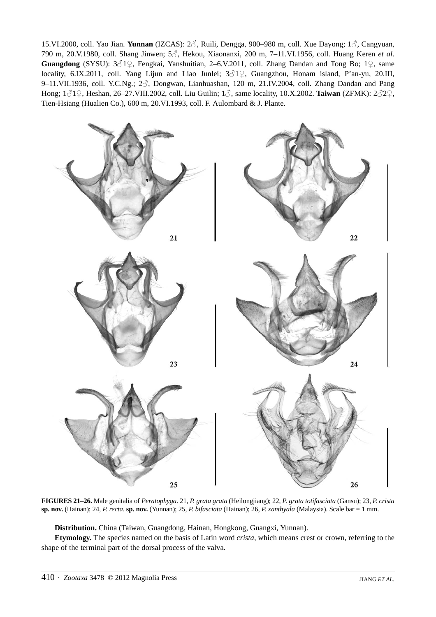15.VI.2000, coll. Yao Jian. **Yunnan** (IZCAS): 2♂, Ruili, Dengga, 900–980 m, coll. Xue Dayong; 1♂, Cangyuan, 790 m, 20.V.1980, coll. Shang Jinwen; 5♂, Hekou, Xiaonanxi, 200 m, 7–11.VI.1956, coll. Huang Keren *et al*. **Guangdong** (SYSU): 3♂1♀, Fengkai, Yanshuitian, 2–6.V.2011, coll. Zhang Dandan and Tong Bo; 1♀, same locality, 6.IX.2011, coll. Yang Lijun and Liao Junlei; 3♂1♀, Guangzhou, Honam island, P'an-yu, 20.III, 9–11.VII.1936, coll. Y.C.Ng.; 2 $\beta$ , Dongwan, Lianhuashan, 120 m, 21.IV.2004, coll. Zhang Dandan and Pang Hong; 1♂1♀, Heshan, 26–27.VIII.2002, coll. Liu Guilin; 1♂, same locality, 10.X.2002. **Taiwan** (ZFMK): 2♂2♀, Tien-Hsiang (Hualien Co.), 600 m, 20.VI.1993, coll. F. Aulombard & J. Plante.



**FIGURES 21–26.** Male genitalia of *Peratophyga*. 21, *P. grata grata* (Heilongjiang); 22, *P. grata totifasciata* (Gansu); 23, *P. crista*  **sp. nov.** (Hainan); 24, *P. recta*. **sp. nov.** (Yunnan); 25, *P. bifasciata* (Hainan); 26, *P. xanthyala* (Malaysia). Scale bar = 1 mm.

**Distribution.** China (Taiwan, Guangdong, Hainan, Hongkong, Guangxi, Yunnan).

**Etymology.** The species named on the basis of Latin word *crista*, which means crest or crown, referring to the shape of the terminal part of the dorsal process of the valva.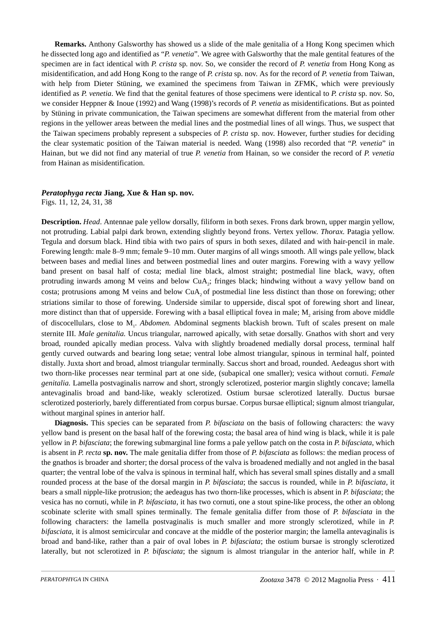**Remarks.** Anthony Galsworthy has showed us a slide of the male genitalia of a Hong Kong specimen which he dissected long ago and identified as "*P. venetia*". We agree with Galsworthy that the male gentital features of the specimen are in fact identical with *P. crista* sp. nov. So, we consider the record of *P. venetia* from Hong Kong as misidentification, and add Hong Kong to the range of *P. crista* sp. nov. As for the record of *P. venetia* from Taiwan, with help from Dieter Stüning, we examined the specimens from Taiwan in ZFMK, which were previously identified as *P. venetia*. We find that the genital features of those specimens were identical to *P. crista* sp. nov. So, we consider Heppner & Inoue (1992) and Wang (1998)'s records of *P. venetia* as misidentifications. But as pointed by Stüning in private communication, the Taiwan specimens are somewhat different from the material from other regions in the yellower areas between the medial lines and the postmedial lines of all wings. Thus, we suspect that the Taiwan specimens probably represent a subspecies of *P. crista* sp. nov. However, further studies for deciding the clear systematic position of the Taiwan material is needed. Wang (1998) also recorded that "*P. venetia*" in Hainan, but we did not find any material of true *P. venetia* from Hainan, so we consider the record of *P. venetia* from Hainan as misidentification.

## *Peratophyga recta* **Jiang, Xue & Han sp. nov.**

Figs. 11, 12, 24, 31, 38

**Description.** *Head*. Antennae pale yellow dorsally, filiform in both sexes. Frons dark brown, upper margin yellow, not protruding. Labial palpi dark brown, extending slightly beyond frons. Vertex yellow. *Thorax.* Patagia yellow. Tegula and dorsum black. Hind tibia with two pairs of spurs in both sexes, dilated and with hair-pencil in male. Forewing length: male 8–9 mm; female 9–10 mm. Outer margins of all wings smooth. All wings pale yellow, black between bases and medial lines and between postmedial lines and outer margins. Forewing with a wavy yellow band present on basal half of costa; medial line black, almost straight; postmedial line black, wavy, often protruding inwards among M veins and below CuA2; fringes black; hindwing without a wavy yellow band on costa; protrusions among M veins and below CuA, of postmedial line less distinct than those on forewing; other striations similar to those of forewing. Underside similar to upperside, discal spot of forewing short and linear, more distinct than that of upperside. Forewing with a basal elliptical fovea in male; M<sub>2</sub> arising from above middle of discocellulars, close to M1. *Abdomen.* Abdominal segments blackish brown. Tuft of scales present on male sternite III. *Male genitalia.* Uncus triangular, narrowed apically, with setae dorsally. Gnathos with short and very broad, rounded apically median process. Valva with slightly broadened medially dorsal process, terminal half gently curved outwards and bearing long setae; ventral lobe almost triangular, spinous in terminal half, pointed distally. Juxta short and broad, almost triangular terminally. Saccus short and broad, rounded. Aedeagus short with two thorn-like processes near terminal part at one side, (subapical one smaller); vesica without cornuti. *Female genitalia.* Lamella postvaginalis narrow and short, strongly sclerotized, posterior margin slightly concave; lamella antevaginalis broad and band-like, weakly sclerotized. Ostium bursae sclerotized laterally. Ductus bursae sclerotized posteriorly, barely differentiated from corpus bursae. Corpus bursae elliptical; signum almost triangular, without marginal spines in anterior half.

**Diagnosis.** This species can be separated from *P. bifasciata* on the basis of following characters: the wavy yellow band is present on the basal half of the forewing costa; the basal area of hind wing is black, while it is pale yellow in *P. bifasciata*; the forewing submarginal line forms a pale yellow patch on the costa in *P. bifasciata*, which is absent in *P. recta* **sp. nov.** The male genitalia differ from those of *P. bifasciata* as follows: the median process of the gnathos is broader and shorter; the dorsal process of the valva is broadened medially and not angled in the basal quarter; the ventral lobe of the valva is spinous in terminal half, which has several small spines distally and a small rounded process at the base of the dorsal margin in *P. bifasciata*; the saccus is rounded, while in *P. bifasciata*, it bears a small nipple-like protrusion; the aedeagus has two thorn-like processes, which is absent in *P. bifasciata*; the vesica has no cornuti, while in *P. bifasciata*, it has two cornuti, one a stout spine-like process, the other an oblong scobinate sclerite with small spines terminally. The female genitalia differ from those of *P. bifasciata* in the following characters: the lamella postvaginalis is much smaller and more strongly sclerotized, while in *P. bifasciata*, it is almost semicircular and concave at the middle of the posterior margin; the lamella antevaginalis is broad and band-like, rather than a pair of oval lobes in *P. bifasciata*; the ostium bursae is strongly sclerotized laterally, but not sclerotized in *P. bifasciata*; the signum is almost triangular in the anterior half, while in *P.*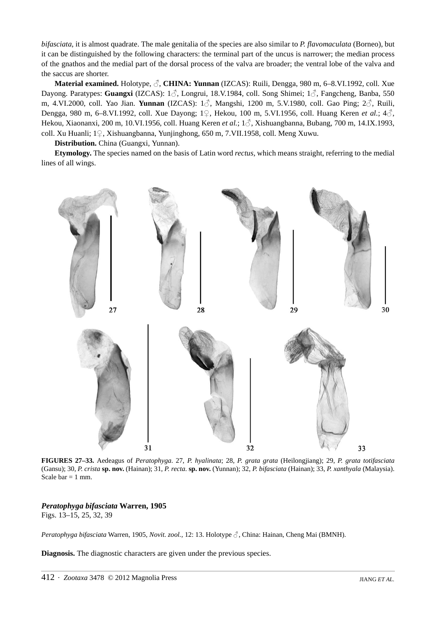*bifasciata*, it is almost quadrate. The male genitalia of the species are also similar to *P. flavomaculata* (Borneo), but it can be distinguished by the following characters: the terminal part of the uncus is narrower; the median process of the gnathos and the medial part of the dorsal process of the valva are broader; the ventral lobe of the valva and the saccus are shorter.

**Material examined.** Holotype, ♂, **CHINA: Yunnan** (IZCAS): Ruili, Dengga, 980 m, 6–8.VI.1992, coll. Xue Dayong. Paratypes: **Guangxi** (IZCAS): 1♂, Longrui, 18.V.1984, coll. Song Shimei; 1♂, Fangcheng, Banba, 550 m, 4.VI.2000, coll. Yao Jian. **Yunnan** (IZCAS): 1♂, Mangshi, 1200 m, 5.V.1980, coll. Gao Ping; 2♂, Ruili, Dengga, 980 m, 6–8.VI.1992, coll. Xue Dayong; 1♀, Hekou, 100 m, 5.VI.1956, coll. Huang Keren *et al.*; 4♂, Hekou, Xiaonanxi, 200 m, 10.VI.1956, coll. Huang Keren *et al.*; 1♂, Xishuangbanna, Bubang, 700 m, 14.IX.1993, coll. Xu Huanli; 1♀, Xishuangbanna, Yunjinghong, 650 m, 7.VII.1958, coll. Meng Xuwu.

**Distribution.** China (Guangxi, Yunnan).

**Etymology.** The species named on the basis of Latin word *rectus*, which means straight, referring to the medial lines of all wings.



**FIGURES 27–33.** Aedeagus of *Peratophyga*. 27, *P. hyalinata*; 28, *P. grata grata* (Heilongjiang); 29, *P. grata totifasciata* (Gansu); 30, *P. crista* **sp. nov.** (Hainan); 31, *P. recta*. **sp. nov.** (Yunnan); 32, *P. bifasciata* (Hainan); 33, *P. xanthyala* (Malaysia). Scale bar  $= 1$  mm.

# *Peratophyga bifasciata* **Warren, 1905**

Figs. 13–15, 25, 32, 39

*Peratophyga bifasciata* Warren, 1905, *Novit. zool.*, 12: 13. Holotype ♂, China: Hainan, Cheng Mai (BMNH).

**Diagnosis.** The diagnostic characters are given under the previous species.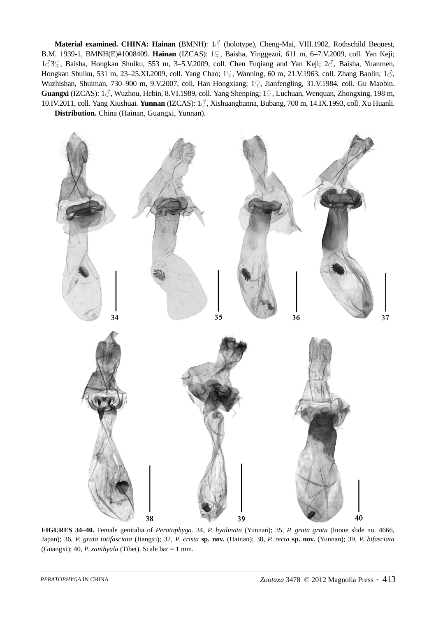**Material examined. CHINA: Hainan** (BMNH): 1♂ (holotype), Cheng-Mai, VIII.1902, Rothschild Bequest, B.M. 1939-1, BMNH(E)#1008409. **Hainan** (IZCAS): 1♀, Baisha, Yinggezui, 611 m, 6–7.V.2009, coll. Yan Keji; <sup>1</sup>♂3♀, Baisha, Hongkan Shuiku, 553 m, 3–5.V.2009, coll. Chen Fuqiang and Yan Keji; 2♂, Baisha, Yuanmen, Hongkan Shuiku, 531 m, 23–25.XI.2009, coll. Yang Chao; 1♀, Wanning, 60 m, 21.V.1963, coll. Zhang Baolin; 1♂, Wuzhishan, Shuiman, 730–900 m, 9.V.2007, coll. Han Hongxiang; 1♀, Jianfengling, 31.V.1984, coll. Gu Maobin. **Guangxi** (IZCAS): 1♂, Wuzhou, Hebin, 8.VI.1989, coll. Yang Shenping; 1♀, Luchuan, Wenquan, Zhongxing, 198 m, 10.IV.2011, coll. Yang Xiushuai. **Yunnan** (IZCAS): 1♂, Xishuangbanna, Bubang, 700 m, 14.IX.1993, coll. Xu Huanli. **Distribution.** China (Hainan, Guangxi, Yunnan).



**FIGURES 34–40.** Female genitalia of *Peratophyga*. 34, *P. hyalinata* (Yunnan); 35, *P. grata grata* (Inoue slide no. 4666, Japan); 36, *P. grata totifasciata* (Jiangxi); 37, *P. crista* **sp. nov.** (Hainan); 38, *P. recta* **sp. nov.** (Yunnan); 39, *P. bifasciata* (Guangxi); 40, *P. xanthyala* (Tibet). Scale bar = 1 mm.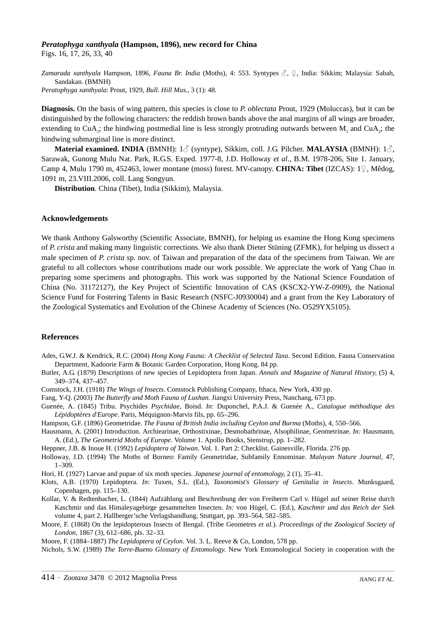#### *Peratophyga xanthyala* **(Hampson, 1896), new record for China**

Figs. 16, 17, 26, 33, 40

*Zamarada xanthyala* Hampson, 1896, *Fauna Br. India* (Moths), 4: 553. Syntypes ♂, ♀, India: Sikkim; Malaysia: Sabah, Sandakan. (BMNH)

*Peratophyga xanthyala*: Prout, 1929, *Bull. Hill Mus.*, 3 (1): 48.

**Diagnosis.** On the basis of wing pattern, this species is close to *P. oblectata* Prout, 1929 (Moluccas), but it can be distinguished by the following characters: the reddish brown bands above the anal margins of all wings are broader, extending to CuA<sub>3</sub>; the hindwing postmedial line is less strongly protruding outwards between M<sub>3</sub> and CuA<sub>3</sub>; the hindwing submarginal line is more distinct.

**Material examined. INDIA** (BMNH): 1♂ (syntype), Sikkim, coll. J.G. Pilcher. **MALAYSIA** (BMNH): 1♂, Sarawak, Gunong Mulu Nat. Park, R.G.S. Exped. 1977-8, J.D. Holloway *et al.*, B.M. 1978-206, Site 1. January, Camp 4, Mulu 1790 m, 452463, lower montane (moss) forest. MV-canopy. **CHINA: Tibet** (IZCAS): 1♀, Mêdog, 1091 m, 23.VIII.2006, coll. Lang Songyun.

**Distribution**. China (Tibet), India (Sikkim), Malaysia.

#### **Acknowledgements**

We thank Anthony Galsworthy (Scientific Associate, BMNH), for helping us examine the Hong Kong specimens of *P. crista* and making many linguistic corrections. We also thank Dieter Stüning (ZFMK), for helping us dissect a male specimen of *P. crista* sp. nov. of Taiwan and preparation of the data of the specimens from Taiwan. We are grateful to all collectors whose contributions made our work possible. We appreciate the work of Yang Chao in preparing some specimens and photographs. This work was supported by the National Science Foundation of China (No. 31172127), the Key Project of Scientific Innovation of CAS (KSCX2-YW-Z-0909), the National Science Fund for Fostering Talents in Basic Research (NSFC-J0930004) and a grant from the Key Laboratory of the Zoological Systematics and Evolution of the Chinese Academy of Sciences (No. O529YX5105).

#### **References**

- Ades, G.W.J. & Kendrick, R.C. (2004) *Hong Kong Fauna: A Checklist of Selected Taxa*. Second Edition. Fauna Conservation Department, Kadoorie Farm & Botanic Garden Corporation, Hong Kong. 84 pp.
- Butler, A.G. (1879) Descriptions of new species of Lepidoptera from Japan. *Annals and Magazine of Natural History*, (5) 4, 349–374, 437–457.
- Comstock, J.H. (1918) *The Wings of Insects*. Comstock Publishing Company, Ithaca, New York, 430 pp.
- Fang, Y-Q. (2003) *The Butterfly and Moth Fauna of Lushan*. Jiangxi University Press, Nanchang, 673 pp.
- Guenée, A. (1845) Tribu. Psychides *Psychidae*, Boisd. *In*: Duponchel, P.A.J. & Guenée A., *Catalogue méthodique des Lépidoptères d'Europe*. Paris, Méquignon-Marvis fils, pp. 65–296.
- Hampson, G.F. (1896) Geometridae. *The Fauna of British India including Ceylon and Burma* (Moths), 4, 550–566.
- Hausmann, A. (2001) Introduction. Archiearinae, Orthostixinae, Desmobathrinae, Alsophilinae, Geometrinae. *In:* Hausmann, A. (Ed.), *The Geometrid Moths of Europe*. Volume 1. Apollo Books, Stenstrup, pp. 1–282.
- Heppner, J.B. & Inoue H. (1992) *Lepidoptera of Taiwan*. Vol. 1. Part 2: Checklist. Gainesville, Florida. 276 pp.
- Holloway, J.D. (1994) The Moths of Borneo: Family Geometridae, Subfamily Ennominae. *Malayan Nature Journal*, 47, 1–309.
- Hori, H. (1927) Larvae and pupae of six moth species. *Japanese journal of entomology*, 2 (1), 35–41.
- Klots, A.B. (1970) Lepidoptera. *In*: Tuxen, S.L. (Ed.), *Taxonomist's Glossary of Genitalia in Insects*. Munksgaard, Copenhagen, pp. 115–130.
- Kollar, V. & Redtenbacher, L. (1844) Aufzählung und Beschreibung der von Freiherrn Carl v. Hügel auf seiner Reise durch Kaschmir und das Himaleyagebirge gesammelten Insecten. *In:* von Hügel, C. (Ed.), *Kaschmir und das Reich der Sie[k](http://archive.org/search.php?query=publisher%3A%22Stuttgart%2C+Hallberger%22)* [volume 4, part 2. Hallberger'sche Verlagshandlung, Stuttgart, pp. 393–564, 582–585.](http://archive.org/search.php?query=publisher%3A%22Stuttgart%2C+Hallberger%22)
- Moore, F. (1868) On the lepidopterous Insects of Bengal. (Tribe Geometres *et al.*). *Proceedings of the Zoological Society of London*, 1867 (3), 612–686, pls. 32–33.
- Moore, F. (1884–1887) *The Lepidoptera of Ceylon*. Vol. 3. L. Reeve & Co, London, 578 pp.

Nichols, S.W. (1989) *The Torre-Bueno Glossary of Entomology.* New York Entomological Society in cooperation with the